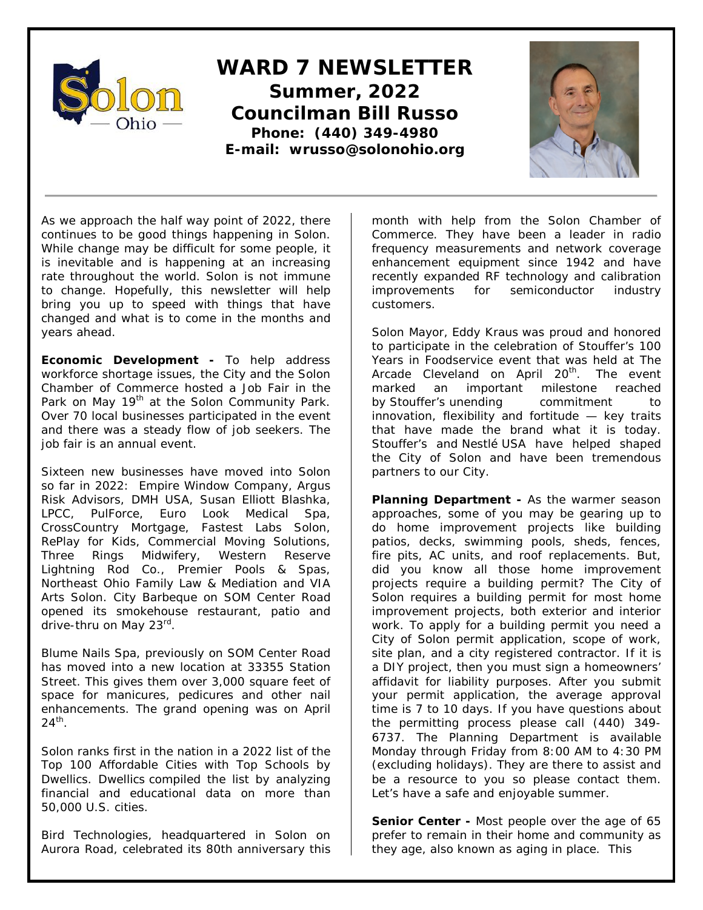

## **WARD 7 NEWSLETTER Summer, 2022 Councilman Bill Russo Phone: (440) 349-4980 E-mail: wrusso@solonohio.org**



As we approach the half way point of 2022, there continues to be good things happening in Solon. While change may be difficult for some people, it is inevitable and is happening at an increasing rate throughout the world. Solon is not immune to change. Hopefully, this newsletter will help bring you up to speed with things that have changed and what is to come in the months and years ahead.

**Economic Development -** To help address workforce shortage issues, the City and the Solon Chamber of Commerce hosted a Job Fair in the Park on May 19<sup>th</sup> at the Solon Community Park. Over 70 local businesses participated in the event and there was a steady flow of job seekers. The job fair is an annual event.

Sixteen new businesses have moved into Solon so far in 2022: Empire Window Company, Argus Risk Advisors, DMH USA, Susan Elliott Blashka, LPCC, PulForce, Euro Look Medical Spa, CrossCountry Mortgage, Fastest Labs Solon, RePlay for Kids, Commercial Moving Solutions, Three Rings Midwifery, Western Reserve Lightning Rod Co., Premier Pools & Spas, Northeast Ohio Family Law & Mediation and VIA Arts Solon. City Barbeque on SOM Center Road opened its smokehouse restaurant, patio and drive-thru on May 23rd.

Blume Nails Spa, previously on SOM Center Road has moved into a new location at 33355 Station Street. This gives them over 3,000 square feet of space for manicures, pedicures and other nail enhancements. The grand opening was on April  $24<sup>th</sup>$ .

Solon ranks first in the nation in a 2022 list of the Top 100 Affordable Cities with Top Schools by Dwellics. Dwellics compiled the list by analyzing financial and educational data on more than 50,000 U.S. cities.

Bird Technologies, headquartered in Solon on Aurora Road, celebrated its 80th anniversary this month with help from the Solon Chamber of Commerce. They have been a leader in radio frequency measurements and network coverage enhancement equipment since 1942 and have recently expanded RF technology and calibration improvements for semiconductor industry customers.

Solon Mayor, Eddy Kraus was proud and honored to participate in the celebration of Stouffer's 100 Years in Foodservice event that was held at The Arcade Cleveland on April 20<sup>th</sup>. The event marked an important milestone reached by Stouffer's unending commitment to innovation, flexibility and fortitude — key traits that have made the brand what it is today. Stouffer's and Nestlé USA have helped shaped the City of Solon and have been tremendous partners to our City.

**Planning Department -** As the warmer season approaches, some of you may be gearing up to do home improvement projects like building patios, decks, swimming pools, sheds, fences, fire pits, AC units, and roof replacements. But, did you know all those home improvement projects require a building permit? The City of Solon requires a building permit for most home improvement projects, both exterior and interior work. To apply for a building permit you need a City of Solon permit application, scope of work, site plan, and a city registered contractor. If it is a DIY project, then you must sign a homeowners' affidavit for liability purposes. After you submit your permit application, the average approval time is 7 to 10 days. If you have questions about the permitting process please call (440) 349- 6737. The Planning Department is available Monday through Friday from 8:00 AM to 4:30 PM (excluding holidays). They are there to assist and be a resource to you so please contact them. Let's have a safe and enjoyable summer.

**Senior Center -** Most people over the age of 65 prefer to remain in their home and community as they age, also known as aging in place. This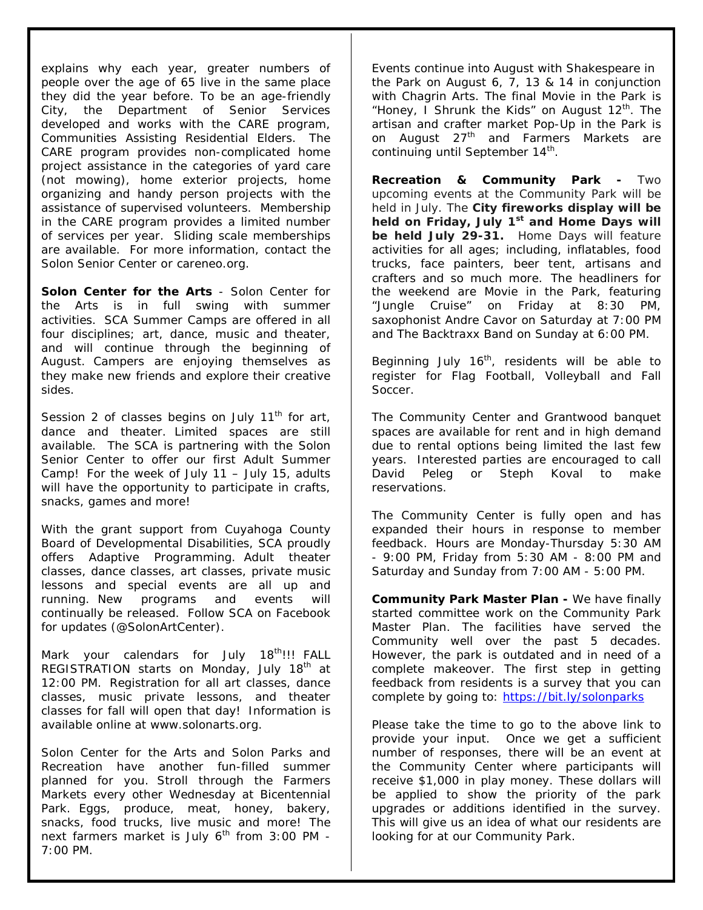explains why each year, greater numbers of people over the age of 65 live in the same place they did the year before. To be an age-friendly City, the Department of Senior Services developed and works with the CARE program, Communities Assisting Residential Elders. The CARE program provides non-complicated home project assistance in the categories of yard care (not mowing), home exterior projects, home organizing and handy person projects with the assistance of supervised volunteers. Membership in the CARE program provides a limited number of services per year. Sliding scale memberships are available. For more information, contact the Solon Senior Center or careneo.org.

**Solon Center for the Arts** - Solon Center for the Arts is in full swing with summer activities. SCA Summer Camps are offered in all four disciplines; art, dance, music and theater, and will continue through the beginning of August. Campers are enjoying themselves as they make new friends and explore their creative sides.

Session 2 of classes begins on July  $11<sup>th</sup>$  for art, dance and theater. Limited spaces are still available. The SCA is partnering with the Solon Senior Center to offer our first Adult Summer Camp! For the week of July 11 – July 15, adults will have the opportunity to participate in crafts, snacks, games and more!

With the grant support from Cuyahoga County Board of Developmental Disabilities, SCA proudly offers Adaptive Programming. Adult theater classes, dance classes, art classes, private music lessons and special events are all up and running. New programs and events will continually be released. Follow SCA on Facebook for updates (@SolonArtCenter).

Mark your calendars for July 18<sup>th</sup>!!! FALL REGISTRATION starts on Monday, July 18<sup>th</sup> at 12:00 PM. Registration for all art classes, dance classes, music private lessons, and theater classes for fall will open that day! Information is available online at www.solonarts.org.

Solon Center for the Arts and Solon Parks and Recreation have another fun-filled summer planned for you. Stroll through the Farmers Markets every other Wednesday at Bicentennial Park. Eggs, produce, meat, honey, bakery, snacks, food trucks, live music and more! The next farmers market is July  $6<sup>th</sup>$  from 3:00 PM -7:00 PM.

Events continue into August with Shakespeare in the Park on August 6, 7, 13 & 14 in conjunction with Chagrin Arts. The final Movie in the Park is "Honey, I Shrunk the Kids" on August  $12^{th}$ . The artisan and crafter market Pop-Up in the Park is on August  $27<sup>th</sup>$  and Farmers Markets are continuing until September 14<sup>th</sup>.

**Recreation & Community Park -** Two upcoming events at the Community Park will be held in July. The **City fireworks display will be**  held on Friday, July 1<sup>st</sup> and Home Days will **be held July 29-31.** Home Days will feature activities for all ages; including, inflatables, food trucks, face painters, beer tent, artisans and crafters and so much more. The headliners for the weekend are Movie in the Park, featuring "Jungle Cruise" on Friday at 8:30 PM, saxophonist Andre Cavor on Saturday at 7:00 PM and The Backtraxx Band on Sunday at 6:00 PM.

Beginning July  $16<sup>th</sup>$ , residents will be able to register for Flag Football, Volleyball and Fall Soccer.

The Community Center and Grantwood banquet spaces are available for rent and in high demand due to rental options being limited the last few years. Interested parties are encouraged to call David Peleg or Steph Koval to make reservations.

The Community Center is fully open and has expanded their hours in response to member feedback. Hours are Monday-Thursday 5:30 AM - 9:00 PM, Friday from 5:30 AM - 8:00 PM and Saturday and Sunday from 7:00 AM - 5:00 PM.

**Community Park Master Plan -** We have finally started committee work on the Community Park Master Plan. The facilities have served the Community well over the past 5 decades. However, the park is outdated and in need of a complete makeover. The first step in getting feedback from residents is a survey that you can complete by going to:<https://bit.ly/solonparks>

Please take the time to go to the above link to provide your input. Once we get a sufficient number of responses, there will be an event at the Community Center where participants will receive \$1,000 in play money. These dollars will be applied to show the priority of the park upgrades or additions identified in the survey. This will give us an idea of what our residents are looking for at our Community Park.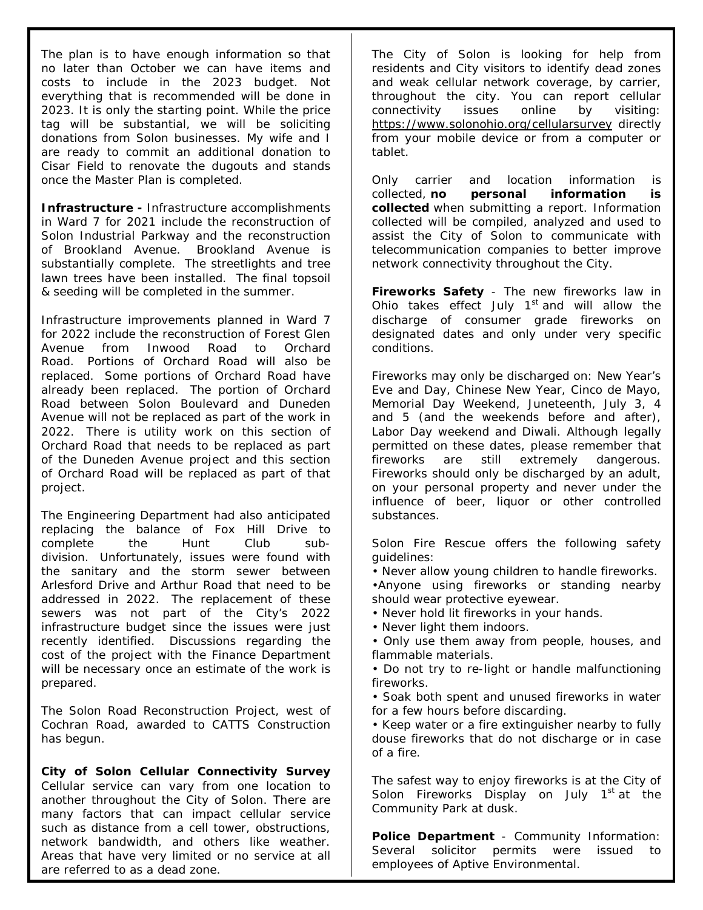The plan is to have enough information so that no later than October we can have items and costs to include in the 2023 budget. Not everything that is recommended will be done in 2023. It is only the starting point. While the price tag will be substantial, we will be soliciting donations from Solon businesses. My wife and I are ready to commit an additional donation to Cisar Field to renovate the dugouts and stands once the Master Plan is completed.

**Infrastructure -** Infrastructure accomplishments in Ward 7 for 2021 include the reconstruction of Solon Industrial Parkway and the reconstruction of Brookland Avenue. Brookland Avenue is substantially complete. The streetlights and tree lawn trees have been installed. The final topsoil & seeding will be completed in the summer.

Infrastructure improvements planned in Ward 7 for 2022 include the reconstruction of Forest Glen Avenue from Inwood Road to Orchard Road. Portions of Orchard Road will also be replaced. Some portions of Orchard Road have already been replaced. The portion of Orchard Road between Solon Boulevard and Duneden Avenue will not be replaced as part of the work in 2022. There is utility work on this section of Orchard Road that needs to be replaced as part of the Duneden Avenue project and this section of Orchard Road will be replaced as part of that project.

The Engineering Department had also anticipated replacing the balance of Fox Hill Drive to complete the Hunt Club subdivision. Unfortunately, issues were found with the sanitary and the storm sewer between Arlesford Drive and Arthur Road that need to be addressed in 2022. The replacement of these sewers was not part of the City's 2022 infrastructure budget since the issues were just recently identified. Discussions regarding the cost of the project with the Finance Department will be necessary once an estimate of the work is prepared.

The Solon Road Reconstruction Project, west of Cochran Road, awarded to CATTS Construction has begun.

**City of Solon Cellular Connectivity Survey** Cellular service can vary from one location to another throughout the City of Solon. There are many factors that can impact cellular service such as distance from a cell tower, obstructions, network bandwidth, and others like weather. Areas that have very limited or no service at all are referred to as a dead zone.

The City of Solon is looking for help from residents and City visitors to identify dead zones and weak cellular network coverage, by carrier, throughout the city. You can report cellular connectivity issues online by visiting: <https://www.solonohio.org/cellularsurvey> directly from your mobile device or from a computer or tablet.

Only carrier and location information is collected, **no personal information is collected** when submitting a report. Information collected will be compiled, analyzed and used to assist the City of Solon to communicate with telecommunication companies to better improve network connectivity throughout the City.

**Fireworks Safety** - The new fireworks law in Ohio takes effect July  $1<sup>st</sup>$  and will allow the discharge of consumer grade fireworks on designated dates and only under very specific conditions.

Fireworks may only be discharged on: New Year's Eve and Day, Chinese New Year, Cinco de Mayo, Memorial Day Weekend, Juneteenth, July 3, 4 and 5 (and the weekends before and after), Labor Day weekend and Diwali. Although legally permitted on these dates, please remember that fireworks are still extremely dangerous. Fireworks should only be discharged by an adult, on your personal property and never under the influence of beer, liquor or other controlled substances.

Solon Fire Rescue offers the following safety guidelines:

• Never allow young children to handle fireworks.

•Anyone using fireworks or standing nearby should wear protective eyewear.

• Never hold lit fireworks in your hands.

• Never light them indoors.

• Only use them away from people, houses, and flammable materials.

• Do not try to re-light or handle malfunctioning fireworks.

• Soak both spent and unused fireworks in water for a few hours before discarding.

• Keep water or a fire extinguisher nearby to fully douse fireworks that do not discharge or in case of a fire.

The safest way to enjoy fireworks is at the City of Solon Fireworks Display on July  $1<sup>st</sup>$  at the Community Park at dusk.

**Police Department** - Community Information: Several solicitor permits were issued to employees of Aptive Environmental.